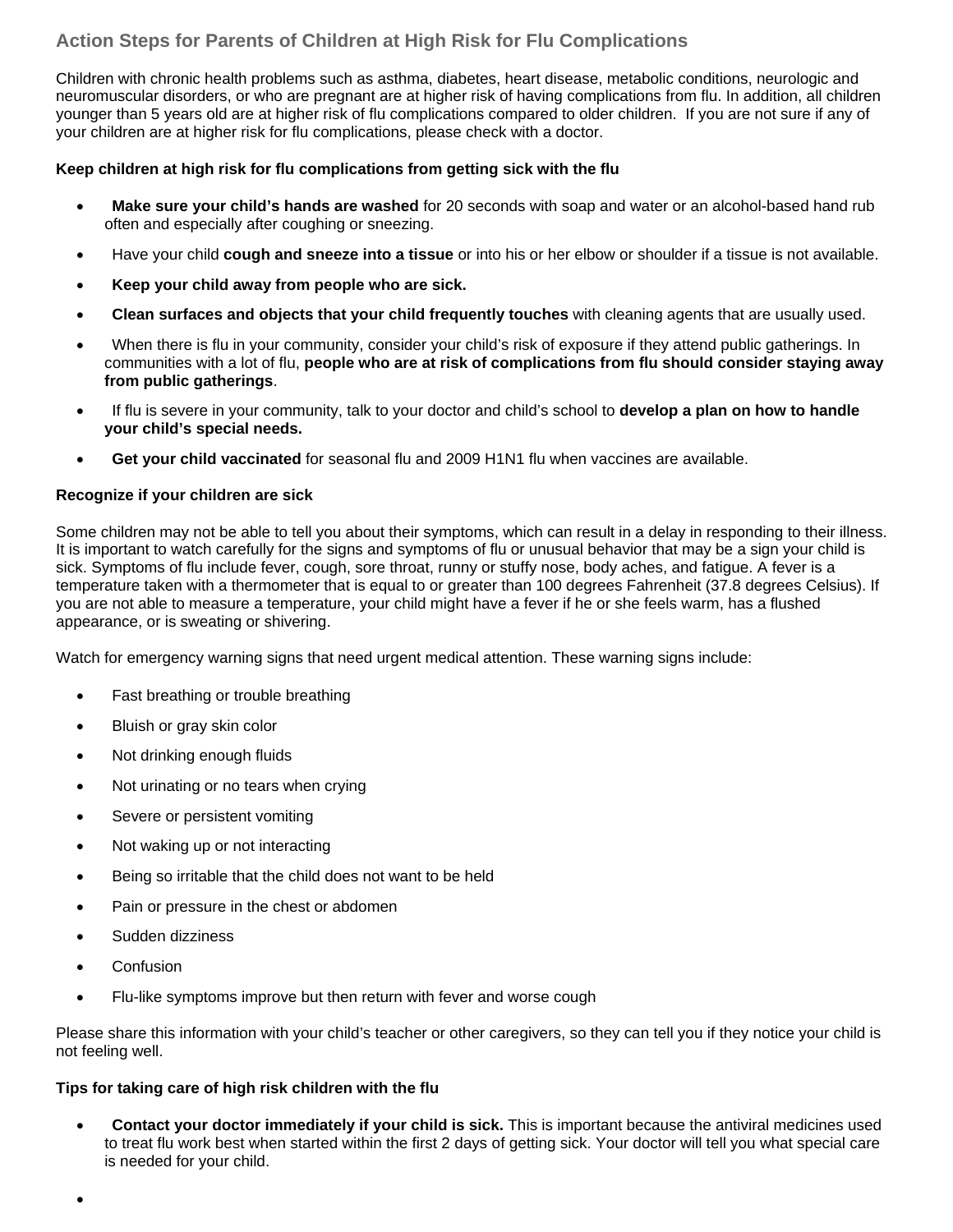# **Action Steps for Parents of Children at High Risk for Flu Complications**

Children with chronic health problems such as asthma, diabetes, heart disease, metabolic conditions, neurologic and neuromuscular disorders, or who are pregnant are at higher risk of having complications from flu. In addition, all children younger than 5 years old are at higher risk of flu complications compared to older children. If you are not sure if any of your children are at higher risk for flu complications, please check with a doctor.

### **Keep children at high risk for flu complications from getting sick with the flu**

- **Make sure your child's hands are washed** for 20 seconds with soap and water or an alcohol-based hand rub often and especially after coughing or sneezing.
- Have your child **cough and sneeze into a tissue** or into his or her elbow or shoulder if a tissue is not available.
- **Keep your child away from people who are sick.**
- **Clean surfaces and objects that your child frequently touches** with cleaning agents that are usually used.
- When there is flu in your community, consider your child's risk of exposure if they attend public gatherings. In communities with a lot of flu, **people who are at risk of complications from flu should consider staying away from public gatherings**.
- If flu is severe in your community, talk to your doctor and child's school to **develop a plan on how to handle your child's special needs.**
- **Get your child vaccinated** for seasonal flu and 2009 H1N1 flu when vaccines are available.

#### **Recognize if your children are sick**

Some children may not be able to tell you about their symptoms, which can result in a delay in responding to their illness. It is important to watch carefully for the signs and symptoms of flu or unusual behavior that may be a sign your child is sick. Symptoms of flu include fever, cough, sore throat, runny or stuffy nose, body aches, and fatigue. A fever is a temperature taken with a thermometer that is equal to or greater than 100 degrees Fahrenheit (37.8 degrees Celsius). If you are not able to measure a temperature, your child might have a fever if he or she feels warm, has a flushed appearance, or is sweating or shivering.

Watch for emergency warning signs that need urgent medical attention. These warning signs include:

- Fast breathing or trouble breathing
- Bluish or gray skin color
- Not drinking enough fluids
- Not urinating or no tears when crying
- Severe or persistent vomiting
- Not waking up or not interacting
- Being so irritable that the child does not want to be held
- Pain or pressure in the chest or abdomen
- Sudden dizziness
- **Confusion**

•

• Flu-like symptoms improve but then return with fever and worse cough

Please share this information with your child's teacher or other caregivers, so they can tell you if they notice your child is not feeling well.

#### **Tips for taking care of high risk children with the flu**

• **Contact your doctor immediately if your child is sick.** This is important because the antiviral medicines used to treat flu work best when started within the first 2 days of getting sick. Your doctor will tell you what special care is needed for your child.